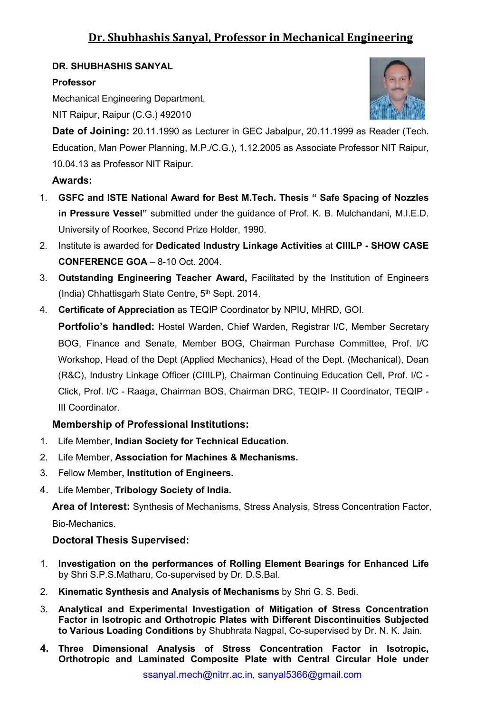### **DR. SHUBHASHIS SANYAL**

### **Professor**

Mechanical Engineering Department,

NIT Raipur, Raipur (C.G.) 492010



**Date of Joining:** 20.11.1990 as Lecturer in GEC Jabalpur, 20.11.1999 as Reader (Tech. Education, Man Power Planning, M.P./C.G.), 1.12.2005 as Associate Professor NIT Raipur, 10.04.13 as Professor NIT Raipur.

## **Awards:**

- 1. **GSFC andISTE National Award for Best M.Tech. Thesis " Safe Spacing of Nozzles in Pressure Vessel"** submitted under the guidance of Prof. K. B. Mulchandani, M.I.E.D. University of Roorkee, Second Prize Holder, 1990.
- 2. Institute isawarded for **Dedicated Industry Linkage Activities** at **CIIILP - SHOW CASE CONFERENCE GOA** – 8-10 Oct. 2004.
- 3. **Outstanding Engineering Teacher Award,** Facilitated by the Institution of Engineers (India) Chhattisgarh State Centre, 5<sup>th</sup> Sept. 2014.
- 4. **Certificate of Appreciation** as TEQIP Coordinator by NPIU, MHRD, GOI.

**Portfolio's handled:** Hostel Warden, Chief Warden, Registrar I/C, Member Secretary BOG, Finance and Senate, Member BOG, Chairman Purchase Committee, Prof. I/C Workshop, Head of the Dept (Applied Mechanics), Head of the Dept. (Mechanical), Dean (R&C), Industry Linkage Officer (CIIILP), Chairman Continuing Education Cell, Prof. I/C - Click, Prof. I/C - Raaga, Chairman BOS, Chairman DRC, TEQIP- II Coordinator, TEQIP - III Coordinator.

## **Membership of Professional Institutions:**

- 1. Life Member, **Indian Society for Technical Education**.
- 2. Life Member, **Association for Machines & Mechanisms.**
- 3. Fellow Member**, Institution of Engineers.**
- 4. Life Member, **Tribology Society of India.**

**Area of Interest:** Synthesis of Mechanisms, Stress Analysis, Stress Concentration Factor, Bio-Mechanics.

## **Doctoral Thesis Supervised:**

- 1. **Investigation on the performances of Rolling Element Bearings for Enhanced Life** by Shri S.P.S.Matharu, Co-supervised by Dr. D.S.Bal.
- 2. **Kinematic Synthesis and Analysis of Mechanisms** by Shri G. S. Bedi.
- 3. **Analytical and Experimental Investigation of Mitigation of Stress Concentration Factor in Isotropic and Orthotropic Plates with Different Discontinuities Subjected to Various Loading Conditions** by Shubhrata Nagpal, Co-supervised by Dr. N. K. Jain.
- **4. Three Dimensional Analysis of Stress Concentration Factor in Isotropic, Orthotropic and Laminated Composite Plate with Central Circular Hole under**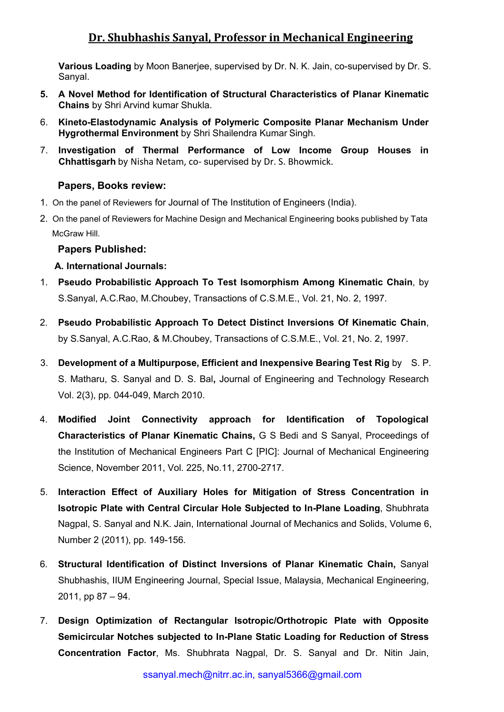**Various Loading** by Moon Banerjee, supervised by Dr. N. K. Jain, co-supervised by Dr. S. Sanyal.

- **5. A Novel Method for Identification of StructuralCharacteristics of Planar Kinematic Chains** by Shri Arvind kumar Shukla.
- 6. **Kineto-Elastodynamic Analysis of Polymeric Composite Planar Mechanism Under Hygrothermal Environment** by Shri Shailendra Kumar Singh.
- 7. **Investigation of Thermal Performance of Low Income Group Houses in Chhattisgarh** by Nisha Netam, co- supervised by Dr. S. Bhowmick.

#### **Papers, Books review:**

- 1. On the panel of Reviewers for Journal of The Institution of Engineers (India).
- 2. On the panel of Reviewers for Machine Design and Mechanical Engineering books published by Tata McGraw Hill.

#### **Papers Published:**

#### **A. International Journals:**

- 1. **Pseudo Probabilistic Approach To Test Isomorphism Among Kinematic Chain**, by S.Sanyal, A.C.Rao, M.Choubey, Transactions of C.S.M.E., Vol. 21, No. 2, 1997.
- 2. **Pseudo Probabilistic Approach To Detect Distinct Inversions Of Kinematic Chain**, by S.Sanyal, A.C.Rao, & M.Choubey, Transactions of C.S.M.E., Vol. 21, No. 2, 1997.
- 3. **Development of a Multipurpose, Efficient and Inexpensive Bearing Test Rig** by S. P. S. Matharu, S. Sanyal and D. S. Bal**,** Journal of Engineering and Technology Research Vol. 2(3), pp. 044-049, March 2010.
- 4. **Modified Joint Connectivity approach for Identification of Topological Characteristics of Planar Kinematic Chains,** G S Bedi and S Sanyal, Proceedings of the Institution of Mechanical Engineers Part C [PIC]: Journal of Mechanical Engineering Science, November 2011, Vol. 225, No.11, 2700-2717.
- 5. **Interaction Effect of Auxiliary Holes for Mitigation of Stress Concentration in Isotropic Plate with Central Circular Hole Subjected to In-Plane Loading**, Shubhrata Nagpal, S. Sanyal and N.K. Jain, International Journal of Mechanics and Solids, Volume 6, Number 2 (2011), pp. 149-156.
- 6. **Structural Identification of Distinct Inversions of Planar Kinematic Chain,** Sanyal Shubhashis, IIUM Engineering Journal, Special Issue, Malaysia, Mechanical Engineering, 2011, pp 87 – 94.
- 7. **Design Optimization of Rectangular Isotropic/Orthotropic Plate with Opposite Semicircular Notches subjected to In-Plane Static Loading for Reduction of Stress Concentration Factor, Ms. Shubhrata Nagpal, Dr. S. Sanyal and Dr. Nitin Jain,**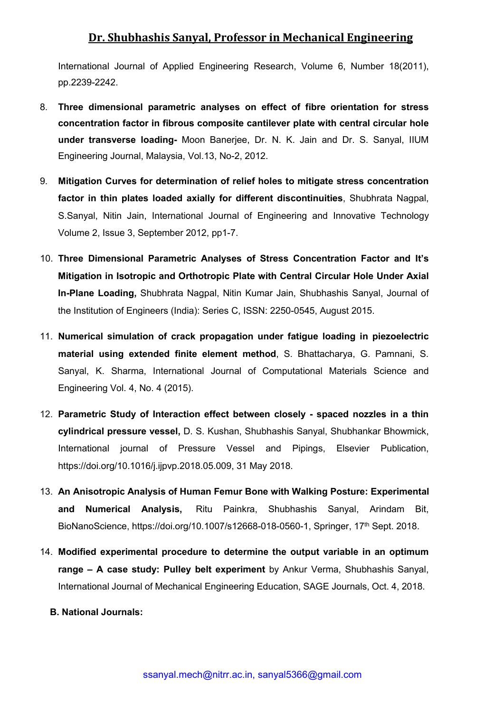International Journal of Applied Engineering Research, Volume 6, Number 18(2011), pp.2239-2242.

- 8. **Three dimensional parametric analyses on effect of fibre orientation for stress concentration factor in fibrous composite cantilever plate with central circular hole under transverse loading-** Moon Banerjee, Dr. N. K. Jain and Dr. S. Sanyal, IIUM Engineering Journal, Malaysia, Vol.13, No-2, 2012.
- 9. **Mitigation Curves for determination of relief holes to mitigate stress concentration factor in thin plates loaded axially for different discontinuities**, Shubhrata Nagpal, S.Sanyal, Nitin Jain, International Journal of Engineering and Innovative Technology Volume 2, Issue 3, September 2012, pp1-7.
- 10. **Three Dimensional Parametric Analyses of Stress Concentration Factor and It's Mitigation in Isotropic and Orthotropic Plate with Central Circular Hole UnderAxial In-Plane Loading,** Shubhrata Nagpal, Nitin Kumar Jain, Shubhashis Sanyal, Journal of the Institution of Engineers (India): Series C, ISSN: 2250-0545, August 2015.
- 11. **Numerical simulation of crack propagation under fatigue loading in piezoelectric material using extended finite element method, S. Bhattacharya, G. Pamnani, S.** Sanyal, K. Sharma, International Journal of Computational Materials Science and Engineering Vol. 4, No. 4 (2015).
- 12. **Parametric Study of Interaction effect between closely - spaced nozzles in a thin cylindrical pressure vessel,** D. S. Kushan, Shubhashis Sanyal, Shubhankar Bhowmick, International journal of Pressure Vessel and Pipings, Elsevier Publication, <https://doi.org/10.1016/j.ijpvp.2018.05.009>, 31 May 2018.
- 13. **An Anisotropic Analysis of Human Femur Bone with Walking Posture: Experimental and Numerical Analysis,** Ritu Painkra, Shubhashis Sanyal, Arindam Bit, BioNanoScience, <https://doi.org/10.1007/s12668-018-0560-1,> Springer, 17<sup>th</sup> Sept. 2018.
- 14. **Modified experimental procedure to determine the output variable in an optimum range – A case study: Pulley belt experiment** by Ankur [Verma,](http://journals.sagepub.com/doi/abs/10.1177/0306419018802445) [Shubhashis](http://journals.sagepub.com/doi/abs/10.1177/0306419018802445) Sanyal, International Journal of Mechanical Engineering Education, SAGE Journals, Oct. 4, 2018.
	- **B. National Journals:**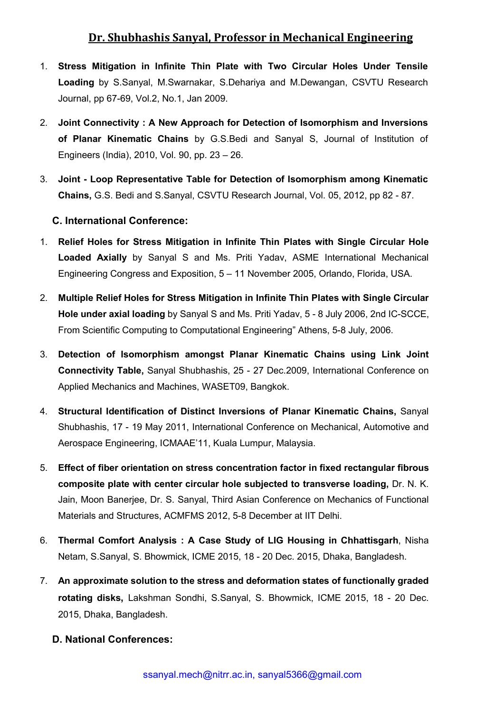- 1. **Stress Mitigation in Infinite Thin Plate with Two Circular Holes Under Tensile Loading** by S.Sanyal, M.Swarnakar, S.Dehariya and M.Dewangan, CSVTU Research Journal, pp 67-69, Vol.2, No.1, Jan 2009.
- 2. **Joint Connectivity : A New Approach for Detection of Isomorphism and Inversions of Planar Kinematic Chains** by G.S.Bedi and Sanyal S, Journal of Institution of Engineers (India), 2010, Vol. 90, pp. 23 – 26.
- 3. **Joint - Loop Representative Table for Detection of Isomorphism among Kinematic Chains,** G.S. Bedi and S.Sanyal, CSVTU Research Journal, Vol. 05, 2012, pp 82 - 87.

### **C. International Conference:**

- 1. **Relief Holes for Stress Mitigation in Infinite Thin Plates with Single Circular Hole Loaded Axially** by Sanyal S and Ms. Priti Yadav, ASME International Mechanical Engineering Congress and Exposition, 5 – 11 November 2005, Orlando, Florida, USA.
- 2. **Multiple Relief Holes for Stress Mitigation in Infinite Thin Plates with Single Circular Hole under axial loading** by Sanyal S and Ms. Priti Yadav, 5 - 8 July 2006, 2nd IC-SCCE, From Scientific Computing to Computational Engineering" Athens, 5-8 July, 2006.
- 3. **Detection of Isomorphism amongst Planar Kinematic Chains using Link Joint Connectivity Table,** Sanyal Shubhashis, 25 - 27 Dec.2009, International Conference on Applied Mechanics and Machines, WASET09, Bangkok.
- 4. **Structural Identification of Distinct Inversions of Planar Kinematic Chains,** Sanyal Shubhashis, 17 - 19 May 2011, International Conference on Mechanical, Automotive and Aerospace Engineering, ICMAAE'11, Kuala Lumpur, Malaysia.
- 5. **Effect of fiber orientation on stress concentration factor in fixed rectangular fibrous composite plate with center circular hole subjected to transverse loading,** Dr. N. K. Jain, Moon Banerjee, Dr. S. Sanyal, Third Asian Conference on Mechanics of Functional Materials and Structures, ACMFMS 2012, 5-8 December at IIT Delhi.
- 6. **Thermal Comfort Analysis : A Case Study ofLIG Housing in Chhattisgarh**, Nisha Netam, S.Sanyal, S. Bhowmick, ICME 2015, 18 - 20 Dec. 2015, Dhaka, Bangladesh.
- 7. **An approximate solution to the stress and deformation states of functionally graded rotating disks,** Lakshman Sondhi, S.Sanyal, S. Bhowmick, ICME 2015, 18 - 20 Dec. 2015, Dhaka, Bangladesh.

#### **D. National Conferences:**